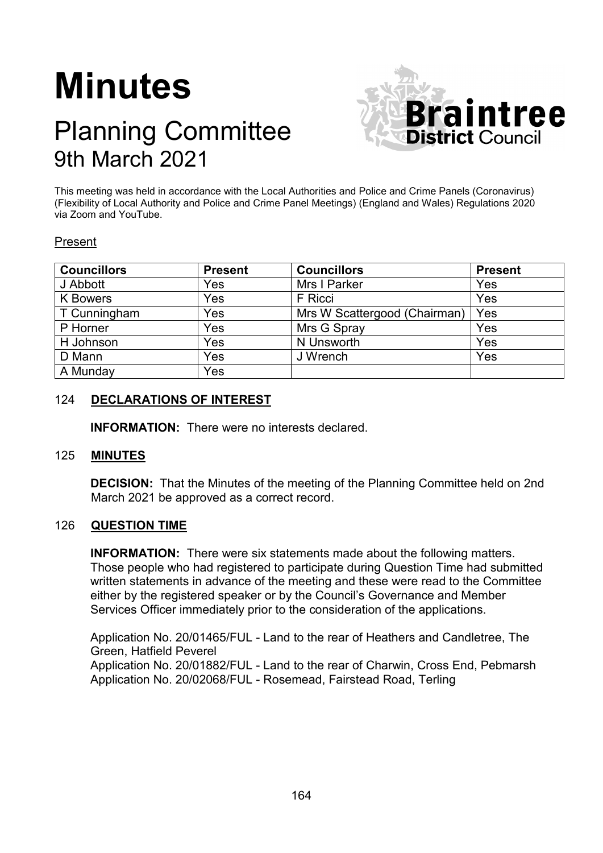# **Minutes**

# Planning Committee 9th March 2021



This meeting was held in accordance with the Local Authorities and Police and Crime Panels (Coronavirus) (Flexibility of Local Authority and Police and Crime Panel Meetings) (England and Wales) Regulations 2020 via Zoom and YouTube.

#### Present

| <b>Councillors</b> | <b>Present</b> | <b>Councillors</b>           | <b>Present</b> |
|--------------------|----------------|------------------------------|----------------|
| J Abbott           | Yes            | Mrs I Parker                 | Yes            |
| <b>K</b> Bowers    | Yes            | F Ricci                      | Yes            |
| T Cunningham       | Yes            | Mrs W Scattergood (Chairman) | Yes            |
| P Horner           | Yes            | Mrs G Spray                  | Yes            |
| H Johnson          | Yes            | N Unsworth                   | Yes            |
| D Mann             | Yes            | J Wrench                     | Yes            |
| A Munday           | Yes            |                              |                |

#### 124 **DECLARATIONS OF INTEREST**

**INFORMATION:** There were no interests declared.

#### 125 **MINUTES**

**DECISION:** That the Minutes of the meeting of the Planning Committee held on 2nd March 2021 be approved as a correct record.

#### 126 **QUESTION TIME**

**INFORMATION:** There were six statements made about the following matters. Those people who had registered to participate during Question Time had submitted written statements in advance of the meeting and these were read to the Committee either by the registered speaker or by the Council's Governance and Member Services Officer immediately prior to the consideration of the applications.

Application No. 20/01465/FUL - Land to the rear of Heathers and Candletree, The Green, Hatfield Peverel Application No. 20/01882/FUL - Land to the rear of Charwin, Cross End, Pebmarsh Application No. 20/02068/FUL - Rosemead, Fairstead Road, Terling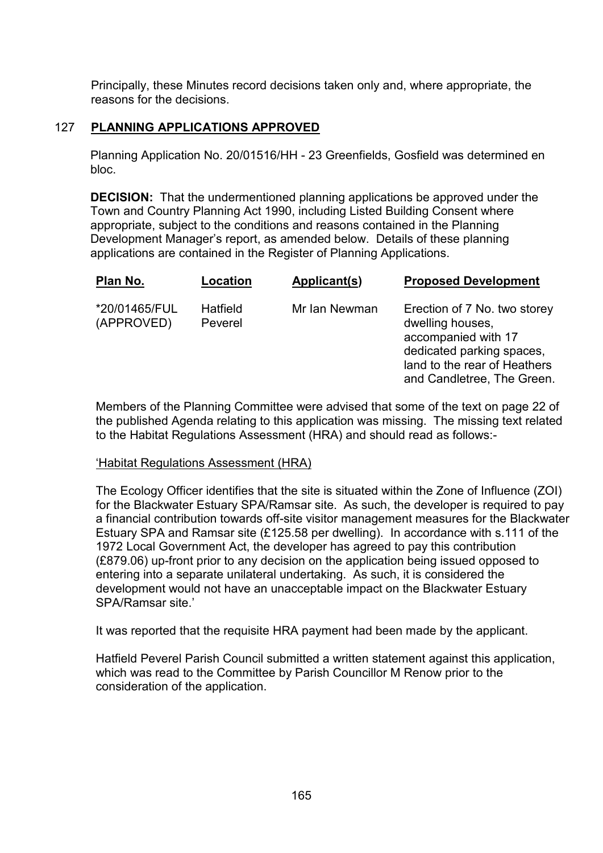Principally, these Minutes record decisions taken only and, where appropriate, the reasons for the decisions.

## 127 **PLANNING APPLICATIONS APPROVED**

Planning Application No. 20/01516/HH - 23 Greenfields, Gosfield was determined en bloc.

**DECISION:** That the undermentioned planning applications be approved under the Town and Country Planning Act 1990, including Listed Building Consent where appropriate, subject to the conditions and reasons contained in the Planning Development Manager's report, as amended below. Details of these planning applications are contained in the Register of Planning Applications.

| Plan No.                    | Location            | Applicant(s)  | <b>Proposed Development</b>                                                                                                                                        |
|-----------------------------|---------------------|---------------|--------------------------------------------------------------------------------------------------------------------------------------------------------------------|
| *20/01465/FUL<br>(APPROVED) | Hatfield<br>Peverel | Mr Ian Newman | Erection of 7 No. two storey<br>dwelling houses,<br>accompanied with 17<br>dedicated parking spaces,<br>land to the rear of Heathers<br>and Candletree, The Green. |

Members of the Planning Committee were advised that some of the text on page 22 of the published Agenda relating to this application was missing. The missing text related to the Habitat Regulations Assessment (HRA) and should read as follows:-

#### 'Habitat Regulations Assessment (HRA)

The Ecology Officer identifies that the site is situated within the Zone of Influence (ZOI) for the Blackwater Estuary SPA/Ramsar site. As such, the developer is required to pay a financial contribution towards off-site visitor management measures for the Blackwater Estuary SPA and Ramsar site (£125.58 per dwelling). In accordance with s.111 of the 1972 Local Government Act, the developer has agreed to pay this contribution (£879.06) up-front prior to any decision on the application being issued opposed to entering into a separate unilateral undertaking. As such, it is considered the development would not have an unacceptable impact on the Blackwater Estuary SPA/Ramsar site.'

It was reported that the requisite HRA payment had been made by the applicant.

Hatfield Peverel Parish Council submitted a written statement against this application, which was read to the Committee by Parish Councillor M Renow prior to the consideration of the application.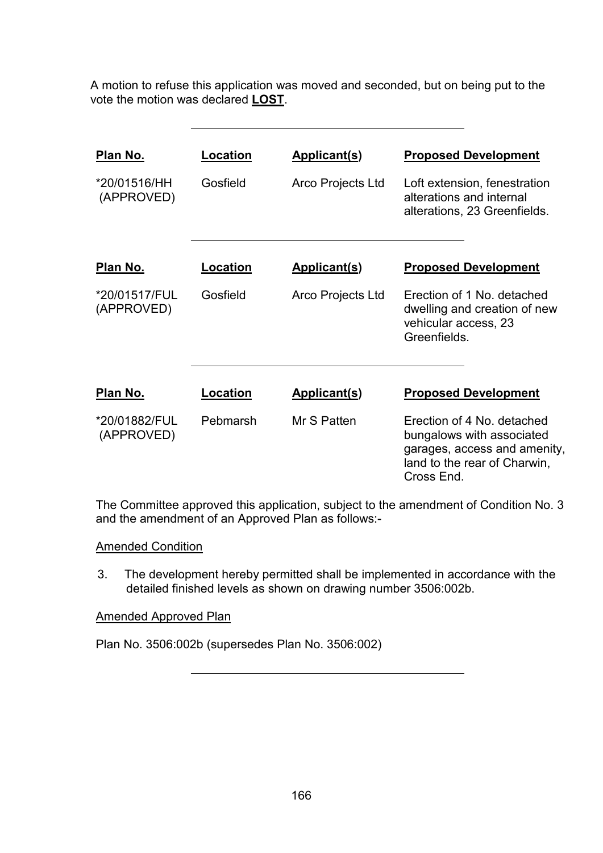A motion to refuse this application was moved and seconded, but on being put to the vote the motion was declared **LOST**.

| Plan No.                    | Location | Applicant(s)        | <b>Proposed Development</b>                                                                                                           |
|-----------------------------|----------|---------------------|---------------------------------------------------------------------------------------------------------------------------------------|
| *20/01516/HH<br>(APPROVED)  | Gosfield | Arco Projects Ltd   | Loft extension, fenestration<br>alterations and internal<br>alterations, 23 Greenfields.                                              |
| Plan No.                    | Location | <b>Applicant(s)</b> | <b>Proposed Development</b>                                                                                                           |
| *20/01517/FUL<br>(APPROVED) | Gosfield | Arco Projects Ltd   | Erection of 1 No. detached<br>dwelling and creation of new<br>vehicular access, 23<br>Greenfields.                                    |
| <u>Plan No.</u>             | Location | <b>Applicant(s)</b> | <b>Proposed Development</b>                                                                                                           |
|                             |          |                     |                                                                                                                                       |
| *20/01882/FUL<br>(APPROVED) | Pebmarsh | Mr S Patten         | Erection of 4 No. detached<br>bungalows with associated<br>garages, access and amenity,<br>land to the rear of Charwin,<br>Cross End. |

The Committee approved this application, subject to the amendment of Condition No. 3 and the amendment of an Approved Plan as follows:-

#### Amended Condition

3. The development hereby permitted shall be implemented in accordance with the detailed finished levels as shown on drawing number 3506:002b.

#### Amended Approved Plan

Plan No. 3506:002b (supersedes Plan No. 3506:002)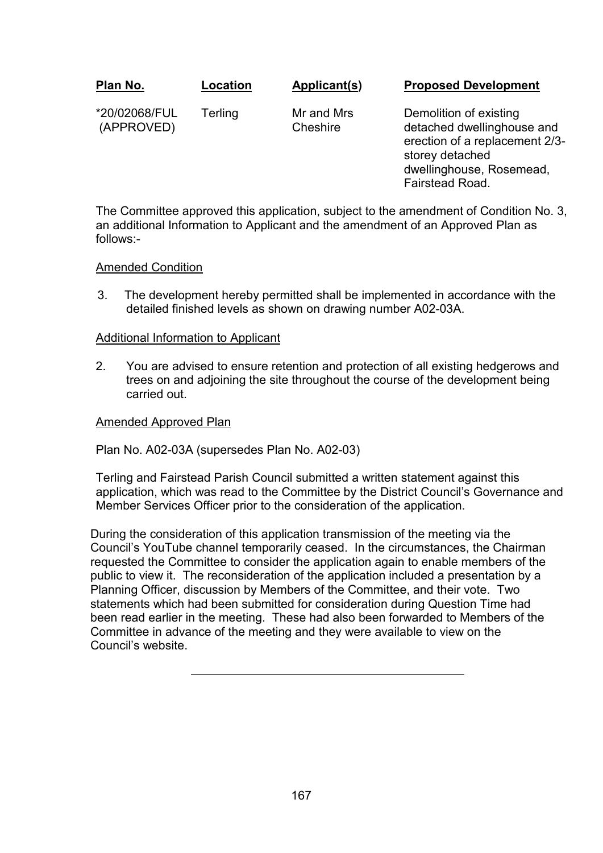|  | Plan No. | Location | Applicant(s) |
|--|----------|----------|--------------|
|--|----------|----------|--------------|

**Proposed Development**

\*20/02068/FUL (APPROVED) **Terling** 

Mr and Mrs **Cheshire** 

Demolition of existing detached dwellinghouse and erection of a replacement 2/3 storey detached dwellinghouse, Rosemead, Fairstead Road.

The Committee approved this application, subject to the amendment of Condition No. 3, an additional Information to Applicant and the amendment of an Approved Plan as follows:-

#### Amended Condition

3. The development hereby permitted shall be implemented in accordance with the detailed finished levels as shown on drawing number A02-03A.

#### Additional Information to Applicant

2. You are advised to ensure retention and protection of all existing hedgerows and trees on and adjoining the site throughout the course of the development being carried out.

#### Amended Approved Plan

### Plan No. A02-03A (supersedes Plan No. A02-03)

Terling and Fairstead Parish Council submitted a written statement against this application, which was read to the Committee by the District Council's Governance and Member Services Officer prior to the consideration of the application.

During the consideration of this application transmission of the meeting via the Council's YouTube channel temporarily ceased. In the circumstances, the Chairman requested the Committee to consider the application again to enable members of the public to view it. The reconsideration of the application included a presentation by a Planning Officer, discussion by Members of the Committee, and their vote. Two statements which had been submitted for consideration during Question Time had been read earlier in the meeting. These had also been forwarded to Members of the Committee in advance of the meeting and they were available to view on the Council's website.